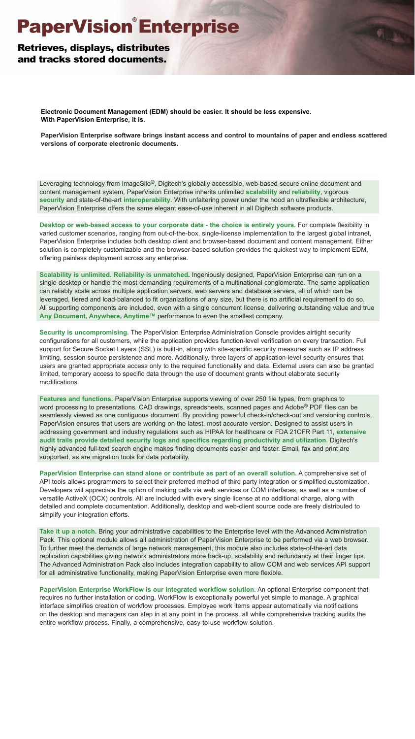# **PaperVision<sup>®</sup>Enterprise**

# **Retrieves, displays, distributes** and tracks stored documents.

**Electronic Document Management (EDM) should be easier. It should be less expensive. With PaperVision Enterprise, it is.**

**PaperVision Enterprise software brings instant access and control to mountains of paper and endless scattered versions of corporate electronic documents.**

Leveraging technology from ImageSilo®, Digitech's globally accessible, web-based secure online document and content management system, PaperVision Enterprise inherits unlimited **scalability** and **reliability**, vigorous **security** and state-of-the-art **interoperability**. With unfaltering power under the hood an ultraflexible architecture, PaperVision Enterprise offers the same elegant ease-of-use inherent in all Digitech software products.

**Desktop or web-based access to your corporate data - the choice is entirely yours.** For complete flexibility in varied customer scenarios, ranging from out-of-the-box, single-license implementation to the largest global intranet, PaperVision Enterprise includes both desktop client and browser-based document and content management. Either solution is completely customizable and the browser-based solution provides the quickest way to implement EDM, offering painless deployment across any enterprise.

**Scalability is unlimited. Reliability is unmatched.** Ingeniously designed, PaperVision Enterprise can run on a single desktop or handle the most demanding requirements of a multinational conglomerate. The same application can reliably scale across multiple application servers, web servers and database servers, all of which can be leveraged, tiered and load-balanced to fit organizations of any size, but there is no artificial requirement to do so. All supporting components are included, even with a single concurrent license, delivering outstanding value and true Any Document, Anywhere, Anytime<sup>™</sup> performance to even the smallest company.

**Security is uncompromising.** The PaperVision Enterprise Administration Console provides airtight security configurations for all customers, while the application provides function-level verification on every transaction. Full support for Secure Socket Layers (SSL) is built-in, along with site-specific security measures such as IP address limiting, session source persistence and more. Additionally, three layers of application-level security ensures that users are granted appropriate access only to the required functionality and data. External users can also be granted limited, temporary access to specific data through the use of document grants without elaborate security modifications.

**Features and functions.** PaperVision Enterprise supports viewing of over 250 file types, from graphics to word processing to presentations. CAD drawings, spreadsheets, scanned pages and Adobe® PDF files can be seamlessly viewed as one contiguous document. By providing powerful check-in/check-out and versioning controls, PaperVision ensures that users are working on the latest, most accurate version. Designed to assist users in addressing government and industry regulations such as HIPAA for healthcare or FDA 21CFR Part 11, **extensive audit trails provide detailed security logs and specifics regarding productivity and utilization.** Digitech's highly advanced full-text search engine makes finding documents easier and faster. Email, fax and print are supported, as are migration tools for data portability.

**PaperVision Enterprise can stand alone or contribute as part of an overall solution.** A comprehensive set of API tools allows programmers to select their preferred method of third party integration or simplified customization. Developers will appreciate the option of making calls via web services or COM interfaces, as well as a number of versatile ActiveX (OCX) controls. All are included with every single license at no additional charge, along with detailed and complete documentation. Additionally, desktop and web-client source code are freely distributed to simplify your integration efforts.

**Take it up a notch.** Bring your administrative capabilities to the Enterprise level with the Advanced Administration Pack. This optional module allows all administration of PaperVision Enterprise to be performed via a web browser. To further meet the demands of large network management, this module also includes state-of-the-art data replication capabilities giving network administrators more back-up, scalability and redundancy at their finger tips. The Advanced Administration Pack also includes integration capability to allow COM and web services API support for all administrative functionality, making PaperVision Enterprise even more flexible.

**PaperVision Enterprise WorkFlow is our integrated workflow solution.** An optional Enterprise component that requires no further installation or coding, WorkFlow is exceptionally powerful yet simple to manage. A graphical interface simplifies creation of workflow processes. Employee work items appear automatically via notifications on the desktop and managers can step in at any point in the process, all while comprehensive tracking audits the entire workflow process. Finally, a comprehensive, easy-to-use workflow solution.